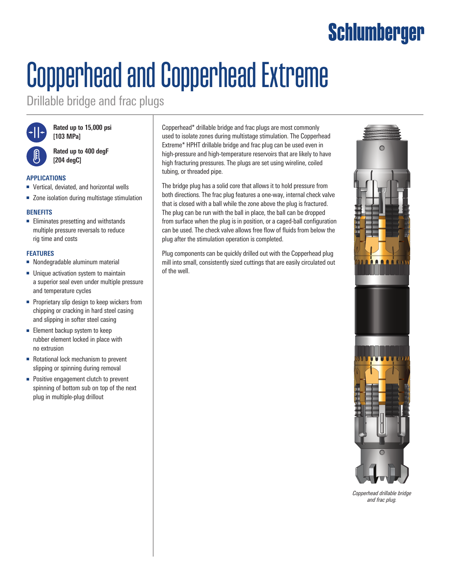### Schlumberger

# Copperhead and Copperhead Extreme

Drillable bridge and frac plugs



**Rated up to 15,000 psi [103 MPa]**

**Rated up to 400 degF [204 degC]**

#### **APPLICATIONS**

- Vertical, deviated, and horizontal wells
- Zone isolation during multistage stimulation

#### **BENEFITS**

■ Eliminates presetting and withstands multiple pressure reversals to reduce rig time and costs

#### **FEATURES**

- Nondegradable aluminum material
- Unique activation system to maintain a superior seal even under multiple pressure and temperature cycles
- Proprietary slip design to keep wickers from chipping or cracking in hard steel casing and slipping in softer steel casing
- Element backup system to keep rubber element locked in place with no extrusion
- Rotational lock mechanism to prevent slipping or spinning during removal
- Positive engagement clutch to prevent spinning of bottom sub on top of the next plug in multiple-plug drillout

Copperhead\* drillable bridge and frac plugs are most commonly used to isolate zones during multistage stimulation. The Copperhead Extreme\* HPHT drillable bridge and frac plug can be used even in high-pressure and high-temperature reservoirs that are likely to have high fracturing pressures. The plugs are set using wireline, coiled tubing, or threaded pipe.

The bridge plug has a solid core that allows it to hold pressure from both directions. The frac plug features a one-way, internal check valve that is closed with a ball while the zone above the plug is fractured. The plug can be run with the ball in place, the ball can be dropped from surface when the plug is in position, or a caged-ball configuration can be used. The check valve allows free flow of fluids from below the plug after the stimulation operation is completed.

Plug components can be quickly drilled out with the Copperhead plug mill into small, consistently sized cuttings that are easily circulated out of the well.



*Copperhead drillable bridge and frac plug.*